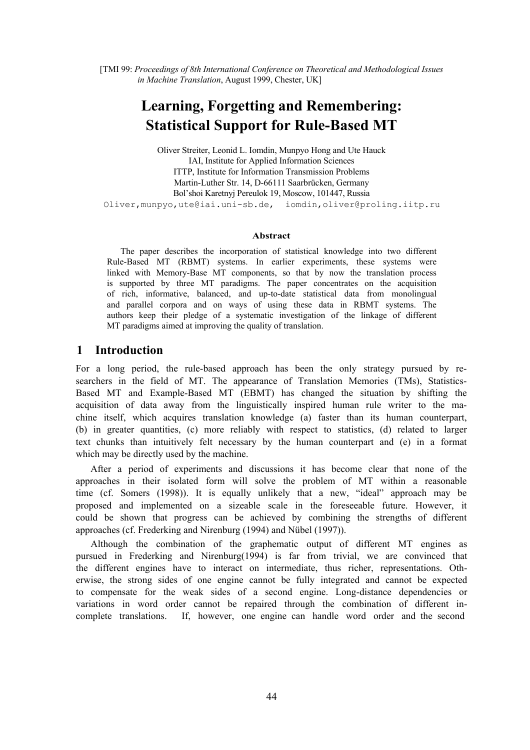[TMI 99: *Proceedings of 8th International Conference on Theoretical and Methodological Issues in Machine Translation*, August 1999, Chester, UK]

# **Learning, Forgetting and Remembering: Statistical Support for Rule-Based MT**

Oliver Streiter, Leonid L. Iomdin, Munpyo Hong and Ute Hauck IAI, Institute for Applied Information Sciences ITTP, Institute for Information Transmission Problems Martin-Luther Str. 14, D-66111 Saarbrücken, Germany Bol'shoi Karetnyj Pereulok 19, Moscow, 101447, Russia Oliver,munpyo,ute@iai.uni-sb.de, iomdin,oliver@proling.iitp.ru

#### **Abstract**

The paper describes the incorporation of statistical knowledge into two different Rule-Based MT (RBMT) systems. In earlier experiments, these systems were linked with Memory-Base MT components, so that by now the translation process is supported by three MT paradigms. The paper concentrates on the acquisition of rich, informative, balanced, and up-to-date statistical data from monolingual and parallel corpora and on ways of using these data in RBMT systems. The authors keep their pledge of a systematic investigation of the linkage of different MT paradigms aimed at improving the quality of translation.

# **1 Introduction**

For a long period, the rule-based approach has been the only strategy pursued by researchers in the field of MT. The appearance of Translation Memories (TMs), Statistics-Based MT and Example-Based MT (EBMT) has changed the situation by shifting the acquisition of data away from the linguistically inspired human rule writer to the machine itself, which acquires translation knowledge (a) faster than its human counterpart, (b) in greater quantities, (c) more reliably with respect to statistics, (d) related to larger text chunks than intuitively felt necessary by the human counterpart and (e) in a format which may be directly used by the machine.

After a period of experiments and discussions it has become clear that none of the approaches in their isolated form will solve the problem of MT within a reasonable time (cf. Somers (1998)). It is equally unlikely that a new, "ideal" approach may be proposed and implemented on a sizeable scale in the foreseeable future. However, it could be shown that progress can be achieved by combining the strengths of different approaches (cf. Frederking and Nirenburg (1994) and Nübel (1997)).

Although the combination of the graphematic output of different MT engines as pursued in Frederking and Nirenburg(1994) is far from trivial, we are convinced that the different engines have to interact on intermediate, thus richer, representations. Otherwise, the strong sides of one engine cannot be fully integrated and cannot be expected to compensate for the weak sides of a second engine. Long-distance dependencies or variations in word order cannot be repaired through the combination of different incomplete translations. If, however, one engine can handle word order and the second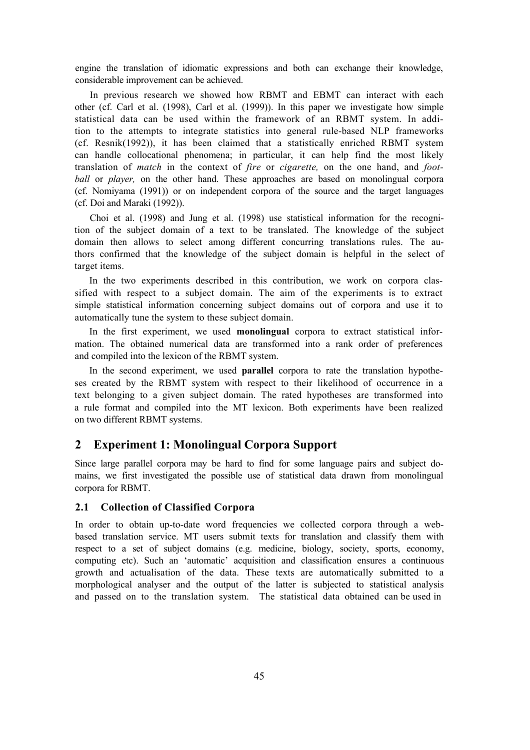engine the translation of idiomatic expressions and both can exchange their knowledge, considerable improvement can be achieved.

In previous research we showed how RBMT and EBMT can interact with each other (cf. Carl et al. (1998), Carl et al. (1999)). In this paper we investigate how simple statistical data can be used within the framework of an RBMT system. In addition to the attempts to integrate statistics into general rule-based NLP frameworks (cf. Resnik(1992)), it has been claimed that a statistically enriched RBMT system can handle collocational phenomena; in particular, it can help find the most likely translation of *match* in the context of *fire* or *cigarette,* on the one hand, and *football* or *player*, on the other hand. These approaches are based on monolingual corpora (cf. Nomiyama (1991)) or on independent corpora of the source and the target languages (cf. Doi and Maraki (1992)).

Choi et al. (1998) and Jung et al. (1998) use statistical information for the recognition of the subject domain of a text to be translated. The knowledge of the subject domain then allows to select among different concurring translations rules. The authors confirmed that the knowledge of the subject domain is helpful in the select of target items.

In the two experiments described in this contribution, we work on corpora classified with respect to a subject domain. The aim of the experiments is to extract simple statistical information concerning subject domains out of corpora and use it to automatically tune the system to these subject domain.

In the first experiment, we used **monolingual** corpora to extract statistical information. The obtained numerical data are transformed into a rank order of preferences and compiled into the lexicon of the RBMT system.

In the second experiment, we used **parallel** corpora to rate the translation hypotheses created by the RBMT system with respect to their likelihood of occurrence in a text belonging to a given subject domain. The rated hypotheses are transformed into a rule format and compiled into the MT lexicon. Both experiments have been realized on two different RBMT systems.

# **2 Experiment 1: Monolingual Corpora Support**

Since large parallel corpora may be hard to find for some language pairs and subject domains, we first investigated the possible use of statistical data drawn from monolingual corpora for RBMT.

#### **2.1 Collection of Classified Corpora**

In order to obtain up-to-date word frequencies we collected corpora through a webbased translation service. MT users submit texts for translation and classify them with respect to a set of subject domains (e.g. medicine, biology, society, sports, economy, computing etc). Such an 'automatic' acquisition and classification ensures a continuous growth and actualisation of the data. These texts are automatically submitted to a morphological analyser and the output of the latter is subjected to statistical analysis and passed on to the translation system. The statistical data obtained can be used in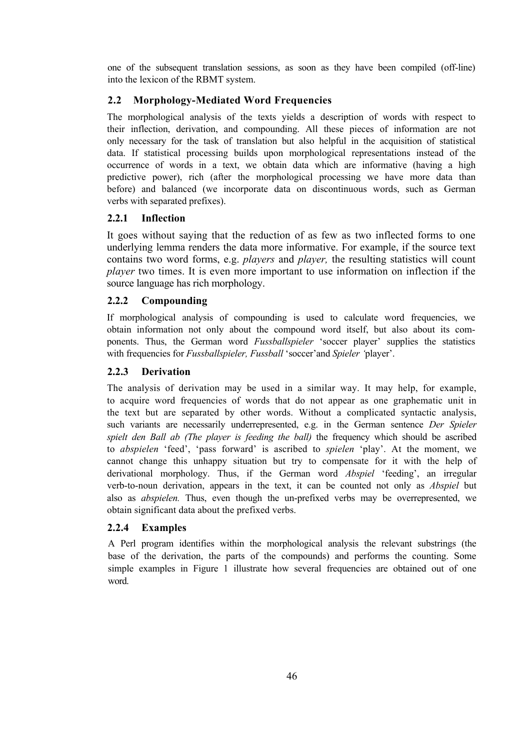one of the subsequent translation sessions, as soon as they have been compiled (off-line) into the lexicon of the RBMT system.

# **2.2 Morphology-Mediated Word Frequencies**

The morphological analysis of the texts yields a description of words with respect to their inflection, derivation, and compounding. All these pieces of information are not only necessary for the task of translation but also helpful in the acquisition of statistical data. If statistical processing builds upon morphological representations instead of the occurrence of words in a text, we obtain data which are informative (having a high predictive power), rich (after the morphological processing we have more data than before) and balanced (we incorporate data on discontinuous words, such as German verbs with separated prefixes).

# **2.2.1 Inflection**

It goes without saying that the reduction of as few as two inflected forms to one underlying lemma renders the data more informative. For example, if the source text contains two word forms, e.g. *players* and *player,* the resulting statistics will count *player* two times. It is even more important to use information on inflection if the source language has rich morphology.

# **2.2.2 Compounding**

If morphological analysis of compounding is used to calculate word frequencies, we obtain information not only about the compound word itself, but also about its components. Thus, the German word *Fussballspieler* 'soccer player' supplies the statistics with frequencies for *Fussballspieler, Fussball* 'soccer'and *Spieler '*player'.

# **2.2.3 Derivation**

The analysis of derivation may be used in a similar way. It may help, for example, to acquire word frequencies of words that do not appear as one graphematic unit in the text but are separated by other words. Without a complicated syntactic analysis, such variants are necessarily underrepresented, e.g. in the German sentence *Der Spieler spielt den Ball ab (The player is feeding the ball)* the frequency which should be ascribed to *abspielen* 'feed', 'pass forward' is ascribed to *spielen* 'play'. At the moment, we cannot change this unhappy situation but try to compensate for it with the help of derivational morphology. Thus, if the German word *Abspiel* 'feeding', an irregular verb-to-noun derivation, appears in the text, it can be counted not only as *Abspiel* but also as *abspielen.* Thus, even though the un-prefixed verbs may be overrepresented, we obtain significant data about the prefixed verbs.

# **2.2.4 Examples**

A Perl program identifies within the morphological analysis the relevant substrings (the base of the derivation, the parts of the compounds) and performs the counting. Some simple examples in Figure 1 illustrate how several frequencies are obtained out of one word.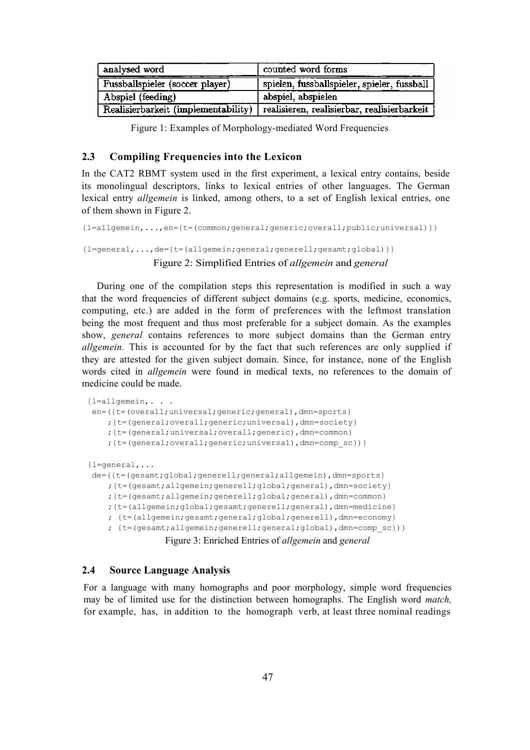| analysed word                   | counted word forms                                                              |
|---------------------------------|---------------------------------------------------------------------------------|
| Fussballspieler (soccer player) | spielen, fussballspieler, spieler, fussball                                     |
| Abspiel (feeding)               | abspiel, abspielen                                                              |
|                                 | Realisierbarkeit (implementability) realisieren, realisierbar, realisierbarkeit |

Figure 1: Examples of Morphology-mediated Word Frequencies

#### **2.3 Compiling Frequencies into the Lexicon**

In the CAT2 RBMT system used in the first experiment, a lexical entry contains, beside its monolingual descriptors, links to lexical entries of other languages. The German lexical entry *allgemein* is linked, among others, to a set of English lexical entries, one of them shown in Figure 2.

```
{l=allgemein,...,en={t=(common;general;generic;overall;public;universal)}} 
{l=general,...,de={t=(allgemein;general;generell;gesamt;global)}}
```
## Figure 2: Simplified Entries of *allgemein* and *general*

During one of the compilation steps this representation is modified in such a way that the word frequencies of different subject domains (e.g. sports, medicine, economics, computing, etc.) are added in the form of preferences with the leftmost translation being the most frequent and thus most preferable for a subject domain. As the examples show, *general* contains references to more subject domains than the German entry *allgemein.* This is accounted for by the fact that such references are only supplied if they are attested for the given subject domain. Since, for instance, none of the English words cited in *allgemein* were found in medical texts, no references to the domain of medicine could be made.

```
{l=allgemein,. . .
en=({t=(overall;universal;generic;general),dmn=sports} 
    ;{t=(general;overall;generic;universal),dmn=society} 
    ;{t=(general;universal;overall;generic),dmn=common} 
    ;{t=(general;overall;generic;universal),dmn=comp_sc})}
{l=general,...
de=({t=(gesamt;global;generell;general;allgemein),dmn=sports} 
    ;{t=(gesamt;allgemein;generell;global;general),dmn=society} 
    ;{t=(gesamt;allgemein;generell;global;general),dmn=common} 
    ;{t=(allgemein;global;gesamt;generell;general),dmn=medicine} 
    ; {t=(allgemein;gesamt;general;global;generell),dmn=economy} 
    ; {t=(gesamt;allgemein;generell;general;global),dmn=comp_sc})}
                Figure 3: Enriched Entries of allgemein and general
```
## **2.4 Source Language Analysis**

For a language with many homographs and poor morphology, simple word frequencies may be of limited use for the distinction between homographs. The English word *match,*  for example, has, in addition to the homograph verb, at least three nominal readings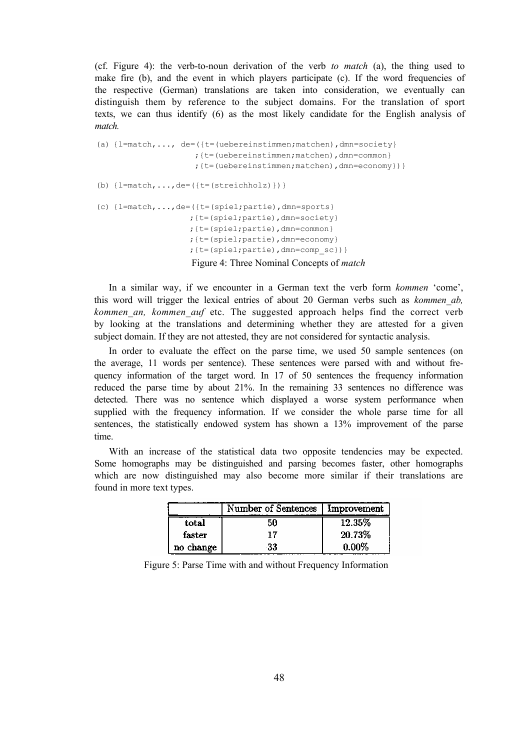(cf. Figure 4): the verb-to-noun derivation of the verb *to match* (a), the thing used to make fire (b), and the event in which players participate (c). If the word frequencies of the respective (German) translations are taken into consideration, we eventually can distinguish them by reference to the subject domains. For the translation of sport texts, we can thus identify (6) as the most likely candidate for the English analysis of *match.*

```
(a) \{l=match, \ldots, de=((t=(uebereinstein,matchen),dm=society\});{t=(uebereinstimmen;matchen),dmn=common} 
                      ;{t=(uebereinstimmen;matchen),dmn=economy})}
(b) \{l=match, \ldots, de=(\{t=(streichholz)\})\}(c) \{l = match, ..., de = (\{t = (spiel, partie), dm = sports\};{t=(spiel;partie),dmn=society} 
                     ;{t=(spiel;partie),dmn=common} 
                     ;{t=(spiel;partie),dmn=economy} 
                     ;{t=(spiel;partie),dmn=comp_sc})}
                     Figure 4: Three Nominal Concepts of match
```
In a similar way, if we encounter in a German text the verb form *kommen* 'come', this word will trigger the lexical entries of about 20 German verbs such as *kommen\_ab, kommen\_an, kommen\_auf* etc. The suggested approach helps find the correct verb by looking at the translations and determining whether they are attested for a given subject domain. If they are not attested, they are not considered for syntactic analysis.

In order to evaluate the effect on the parse time, we used 50 sample sentences (on the average, 11 words per sentence). These sentences were parsed with and without frequency information of the target word. In 17 of 50 sentences the frequency information reduced the parse time by about 21%. In the remaining 33 sentences no difference was detected. There was no sentence which displayed a worse system performance when supplied with the frequency information. If we consider the whole parse time for all sentences, the statistically endowed system has shown a 13% improvement of the parse time.

With an increase of the statistical data two opposite tendencies may be expected. Some homographs may be distinguished and parsing becomes faster, other homographs which are now distinguished may also become more similar if their translations are found in more text types.

|           | Number of Sentences | <b>Improvement</b> |
|-----------|---------------------|--------------------|
| total     | 50                  | 12.35%             |
| faster    | 17                  | 20.73%             |
| no change | 33                  | $0.00\%$           |

Figure 5: Parse Time with and without Frequency Information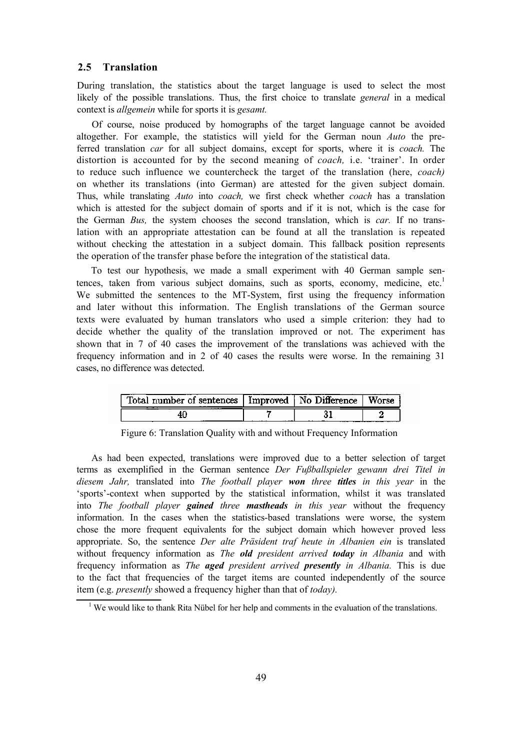#### **2.5 Translation**

During translation, the statistics about the target language is used to select the most likely of the possible translations. Thus, the first choice to translate *general* in a medical context is *allgemein* while for sports it is *gesamt.*

Of course, noise produced by homographs of the target language cannot be avoided altogether. For example, the statistics will yield for the German noun *Auto* the preferred translation *car* for all subject domains, except for sports, where it is *coach.* The distortion is accounted for by the second meaning of *coach,* i.e. 'trainer'. In order to reduce such influence we countercheck the target of the translation (here, *coach)*  on whether its translations (into German) are attested for the given subject domain. Thus, while translating *Auto* into *coach,* we first check whether *coach* has a translation which is attested for the subject domain of sports and if it is not, which is the case for the German *Bus,* the system chooses the second translation, which is *car.* If no translation with an appropriate attestation can be found at all the translation is repeated without checking the attestation in a subject domain. This fallback position represents the operation of the transfer phase before the integration of the statistical data.

To test our hypothesis, we made a small experiment with 40 German sample sentences, taken from various subject domains, such as sports, economy, medicine,  $etc.<sup>1</sup>$ We submitted the sentences to the MT-System, first using the frequency information and later without this information. The English translations of the German source texts were evaluated by human translators who used a simple criterion: they had to decide whether the quality of the translation improved or not. The experiment has shown that in 7 of 40 cases the improvement of the translations was achieved with the frequency information and in 2 of 40 cases the results were worse. In the remaining 31 cases, no difference was detected.

| Total number of sentences Improved No Difference<br>. |  | Worse |
|-------------------------------------------------------|--|-------|
| 4L                                                    |  |       |

| Figure 6: Translation Quality with and without Frequency Information |
|----------------------------------------------------------------------|
|----------------------------------------------------------------------|

As had been expected, translations were improved due to a better selection of target terms as exemplified in the German sentence *Der Fußballspieler gewann drei Titel in diesem Jahr,* translated into *The football player won three titles in this year* in the 'sports'-context when supported by the statistical information, whilst it was translated into *The football player gained three mastheads in this year* without the frequency information. In the cases when the statistics-based translations were worse, the system chose the more frequent equivalents for the subject domain which however proved less appropriate. So, the sentence *Der alte Präsident traf heute in Albanien ein* is translated without frequency information as *The old president arrived today in Albania* and with frequency information as *The aged president arrived presently in Albania.* This is due to the fact that frequencies of the target items are counted independently of the source item (e.g. *presently* showed a frequency higher than that of *today).*

<sup>&</sup>lt;sup>1</sup> We would like to thank Rita Nübel for her help and comments in the evaluation of the translations.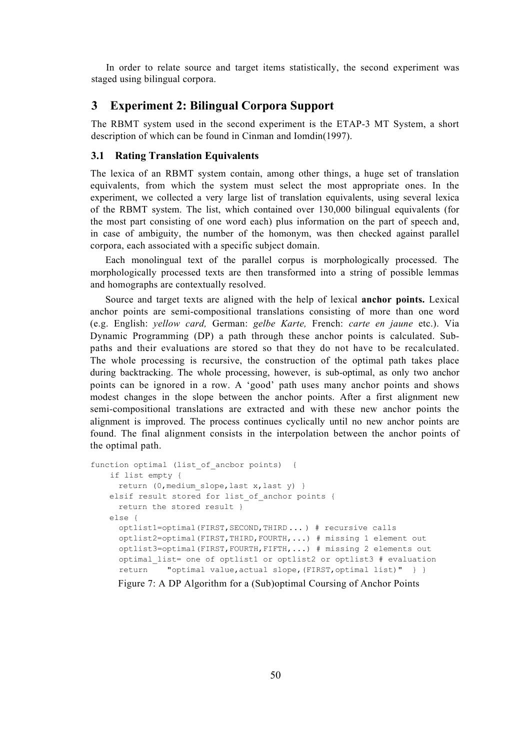In order to relate source and target items statistically, the second experiment was staged using bilingual corpora.

# **3 Experiment 2: Bilingual Corpora Support**

The RBMT system used in the second experiment is the ETAP-3 MT System, a short description of which can be found in Cinman and Iomdin(1997).

## **3.1 Rating Translation Equivalents**

The lexica of an RBMT system contain, among other things, a huge set of translation equivalents, from which the system must select the most appropriate ones. In the experiment, we collected a very large list of translation equivalents, using several lexica of the RBMT system. The list, which contained over 130,000 bilingual equivalents (for the most part consisting of one word each) plus information on the part of speech and, in case of ambiguity, the number of the homonym, was then checked against parallel corpora, each associated with a specific subject domain.

Each monolingual text of the parallel corpus is morphologically processed. The morphologically processed texts are then transformed into a string of possible lemmas and homographs are contextually resolved.

Source and target texts are aligned with the help of lexical **anchor points.** Lexical anchor points are semi-compositional translations consisting of more than one word (e.g. English: *yellow card,* German: *gelbe Karte,* French: *carte en jaune* etc.). Via Dynamic Programming (DP) a path through these anchor points is calculated. Subpaths and their evaluations are stored so that they do not have to be recalculated. The whole processing is recursive, the construction of the optimal path takes place during backtracking. The whole processing, however, is sub-optimal, as only two anchor points can be ignored in a row. A 'good' path uses many anchor points and shows modest changes in the slope between the anchor points. After a first alignment new semi-compositional translations are extracted and with these new anchor points the alignment is improved. The process continues cyclically until no new anchor points are found. The final alignment consists in the interpolation between the anchor points of the optimal path.

```
function optimal (list of ancbor points) {
    if list empty { 
      return (0, medium slope, last x, last y) }
   elsif result stored for list of anchor points {
      return the stored result } 
    else { 
      optlist1=optimal(FIRST,SECOND,THIRD ... ) # recursive calls 
      optlist2=optimal(FIRST,THIRD,FOURTH,...) # missing 1 element out 
      optlist3=optimal(FIRST,FOURTH,FIFTH,...) # missing 2 elements out 
      optimal_list= one of optlist1 or optlist2 or optlist3 # evaluation 
      return "optimal value,actual slope,(FIRST,optimal list)" } }
```
Figure 7: A DP Algorithm for a (Sub)optimal Coursing of Anchor Points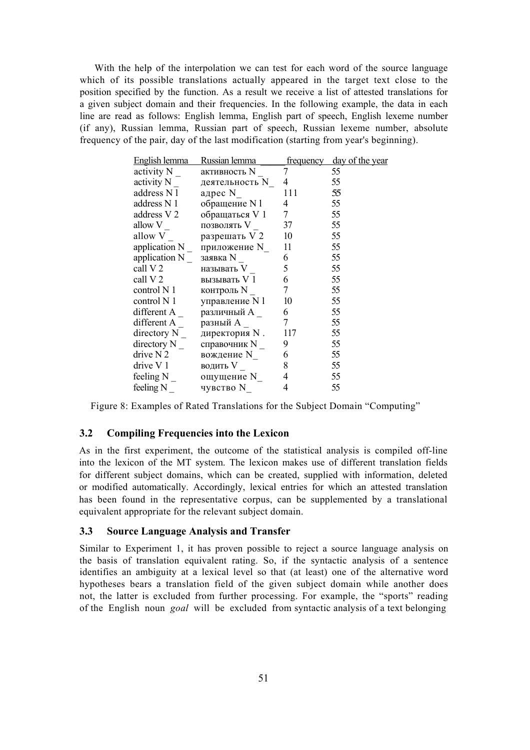With the help of the interpolation we can test for each word of the source language which of its possible translations actually appeared in the target text close to the position specified by the function. As a result we receive a list of attested translations for a given subject domain and their frequencies. In the following example, the data in each line are read as follows: English lemma, English part of speech, English lexeme number (if any), Russian lemma, Russian part of speech, Russian lexeme number, absolute frequency of the pair, day of the last modification (starting from year's beginning).

| English lemma    | Russian lemma  | <u>frequency</u>         | day of the year |
|------------------|----------------|--------------------------|-----------------|
| activity N       | активность N   | 7                        | 55              |
| activity N       | деятельность N | 4                        | 55              |
| address N l      | адрес N        | 111                      | 55              |
| address N 1      | обращение N l  | 4                        | 55              |
| address V 2      | обращаться V 1 | $7\overline{ }$          | 55              |
| allow V          | позволять V    | 37                       | 55              |
| allow V          | разрешать V 2  | 10                       | 55              |
| application N    | приложение N   | 11                       | 55              |
| application N    | заявка N       | 6                        | 55              |
| call V 2         | называть V     | 5                        | 55              |
| call V 2         | вызывать V 1   | 6                        | 55              |
| control N 1      | контроль N     | $7\overline{ }$          | 55              |
| control N 1      | управление N1  | 10                       | 55              |
| different A      | различный А    | 6                        | 55              |
| different A      | разный А       | $\tau$                   | 55              |
| directory N      | директория N.  | 117                      | 55              |
| directory N      | справочник N   | 9                        | 55              |
| drive $N2$       | вождение N     | 6                        | 55              |
| drive V1         | водить V       | 8                        | 55              |
| feeling N        | ощущение N     | $\overline{4}$           | 55              |
| feeling N $_{-}$ | чувство N      | $\overline{\mathcal{L}}$ | 55              |

Figure 8: Examples of Rated Translations for the Subject Domain "Computing"

#### **3.2 Compiling Frequencies into the Lexicon**

As in the first experiment, the outcome of the statistical analysis is compiled off-line into the lexicon of the MT system. The lexicon makes use of different translation fields for different subject domains, which can be created, supplied with information, deleted or modified automatically. Accordingly, lexical entries for which an attested translation has been found in the representative corpus, can be supplemented by a translational equivalent appropriate for the relevant subject domain.

## **3.3 Source Language Analysis and Transfer**

Similar to Experiment 1, it has proven possible to reject a source language analysis on the basis of translation equivalent rating. So, if the syntactic analysis of a sentence identifies an ambiguity at a lexical level so that (at least) one of the alternative word hypotheses bears a translation field of the given subject domain while another does not, the latter is excluded from further processing. For example, the "sports" reading of the English noun *goal* will be excluded from syntactic analysis of a text belonging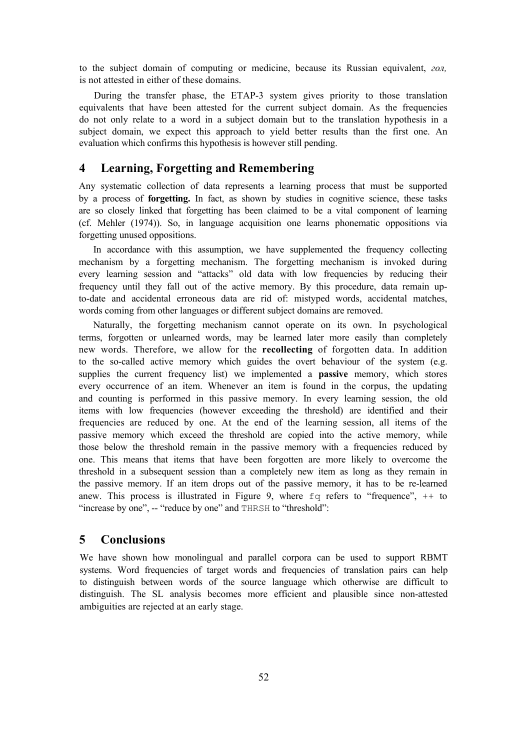to the subject domain of computing or medicine, because its Russian equivalent, *гол,*  is not attested in either of these domains.

During the transfer phase, the ETAP-3 system gives priority to those translation equivalents that have been attested for the current subject domain. As the frequencies do not only relate to a word in a subject domain but to the translation hypothesis in a subject domain, we expect this approach to yield better results than the first one. An evaluation which confirms this hypothesis is however still pending.

# **4 Learning, Forgetting and Remembering**

Any systematic collection of data represents a learning process that must be supported by a process of **forgetting.** In fact, as shown by studies in cognitive science, these tasks are so closely linked that forgetting has been claimed to be a vital component of learning (cf. Mehler (1974)). So, in language acquisition one learns phonematic oppositions via forgetting unused oppositions.

In accordance with this assumption, we have supplemented the frequency collecting mechanism by a forgetting mechanism. The forgetting mechanism is invoked during every learning session and "attacks" old data with low frequencies by reducing their frequency until they fall out of the active memory. By this procedure, data remain upto-date and accidental erroneous data are rid of: mistyped words, accidental matches, words coming from other languages or different subject domains are removed.

Naturally, the forgetting mechanism cannot operate on its own. In psychological terms, forgotten or unlearned words, may be learned later more easily than completely new words. Therefore, we allow for the **recollecting** of forgotten data. In addition to the so-called active memory which guides the overt behaviour of the system (e.g. supplies the current frequency list) we implemented a **passive** memory, which stores every occurrence of an item. Whenever an item is found in the corpus, the updating and counting is performed in this passive memory. In every learning session, the old items with low frequencies (however exceeding the threshold) are identified and their frequencies are reduced by one. At the end of the learning session, all items of the passive memory which exceed the threshold are copied into the active memory, while those below the threshold remain in the passive memory with a frequencies reduced by one. This means that items that have been forgotten are more likely to overcome the threshold in a subsequent session than a completely new item as long as they remain in the passive memory. If an item drops out of the passive memory, it has to be re-learned anew. This process is illustrated in Figure 9, where  $f \circ f$  refers to "frequence",  $+$  to "increase by one", -- "reduce by one" and THRSH to "threshold":

# **5 Conclusions**

We have shown how monolingual and parallel corpora can be used to support RBMT systems. Word frequencies of target words and frequencies of translation pairs can help to distinguish between words of the source language which otherwise are difficult to distinguish. The SL analysis becomes more efficient and plausible since non-attested ambiguities are rejected at an early stage.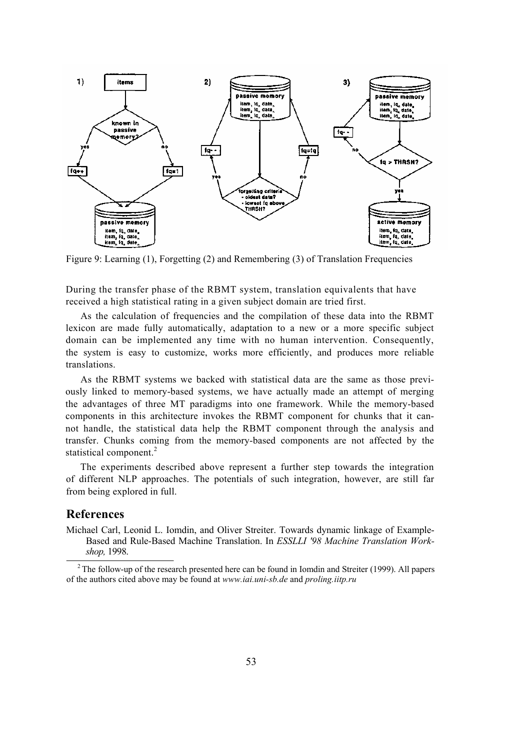

Figure 9: Learning (1), Forgetting (2) and Remembering (3) of Translation Frequencies

During the transfer phase of the RBMT system, translation equivalents that have received a high statistical rating in a given subject domain are tried first.

As the calculation of frequencies and the compilation of these data into the RBMT lexicon are made fully automatically, adaptation to a new or a more specific subject domain can be implemented any time with no human intervention. Consequently, the system is easy to customize, works more efficiently, and produces more reliable translations.

As the RBMT systems we backed with statistical data are the same as those previously linked to memory-based systems, we have actually made an attempt of merging the advantages of three MT paradigms into one framework. While the memory-based components in this architecture invokes the RBMT component for chunks that it cannot handle, the statistical data help the RBMT component through the analysis and transfer. Chunks coming from the memory-based components are not affected by the statistical component.<sup>2</sup>

The experiments described above represent a further step towards the integration of different NLP approaches. The potentials of such integration, however, are still far from being explored in full.

# **References**

Michael Carl, Leonid L. Iomdin, and Oliver Streiter. Towards dynamic linkage of Example-Based and Rule-Based Machine Translation. In *ESSLLI '98 Machine Translation Workshop,* 1998.

<sup>2</sup> The follow-up of the research presented here can be found in Iomdin and Streiter (1999). All papers of the authors cited above may be found at *www.iai.uni-sb.de* and *proling.iitp.ru*